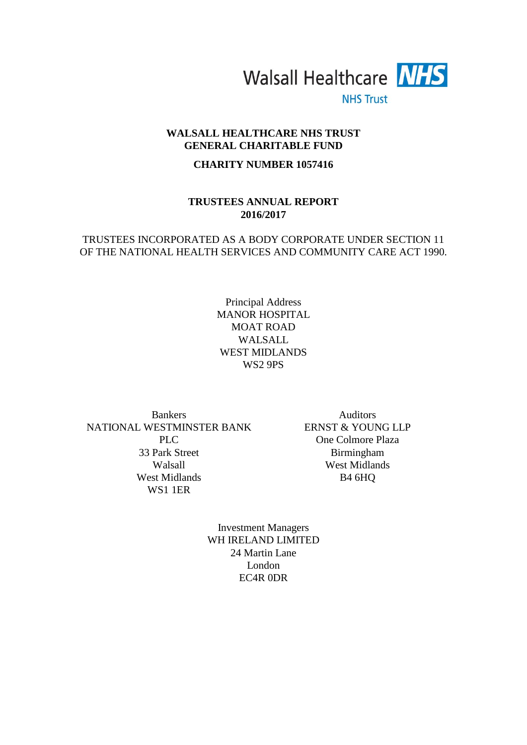

**NHS Trust** 

# **WALSALL HEALTHCARE NHS TRUST GENERAL CHARITABLE FUND**

# **CHARITY NUMBER 1057416**

# **TRUSTEES ANNUAL REPORT 2016/2017**

# TRUSTEES INCORPORATED AS A BODY CORPORATE UNDER SECTION 11 OF THE NATIONAL HEALTH SERVICES AND COMMUNITY CARE ACT 1990.

Principal Address MANOR HOSPITAL MOAT ROAD WALSALL WEST MIDLANDS WS2 9PS

Bankers **Auditors** NATIONAL WESTMINSTER BANK PLC 33 Park Street Walsall West Midlands WS1 1ER

ERNST & YOUNG LLP One Colmore Plaza Birmingham West Midlands B4 6HQ

Investment Managers WH IRELAND LIMITED 24 Martin Lane London EC4R 0DR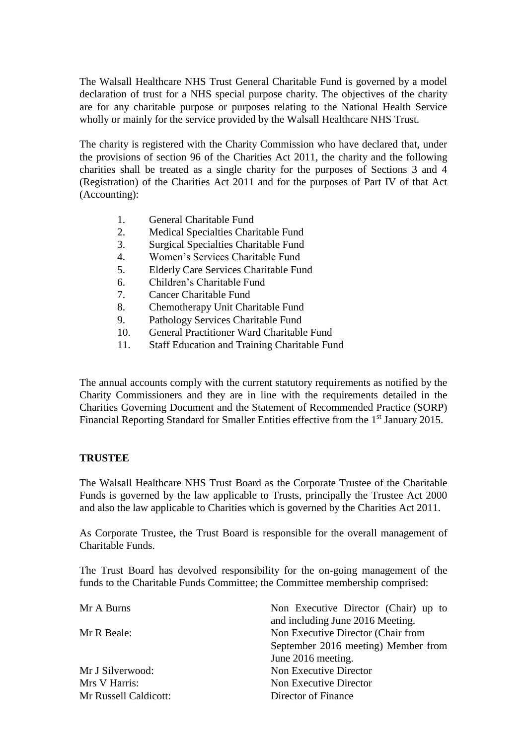The Walsall Healthcare NHS Trust General Charitable Fund is governed by a model declaration of trust for a NHS special purpose charity. The objectives of the charity are for any charitable purpose or purposes relating to the National Health Service wholly or mainly for the service provided by the Walsall Healthcare NHS Trust.

The charity is registered with the Charity Commission who have declared that, under the provisions of section 96 of the Charities Act 2011, the charity and the following charities shall be treated as a single charity for the purposes of Sections 3 and 4 (Registration) of the Charities Act 2011 and for the purposes of Part IV of that Act (Accounting):

- 1. General Charitable Fund
- 2. Medical Specialties Charitable Fund
- 3. Surgical Specialties Charitable Fund
- 4. Women's Services Charitable Fund
- 5. Elderly Care Services Charitable Fund
- 6. Children's Charitable Fund
- 7. Cancer Charitable Fund
- 8. Chemotherapy Unit Charitable Fund
- 9. Pathology Services Charitable Fund
- 10. General Practitioner Ward Charitable Fund
- 11. Staff Education and Training Charitable Fund

The annual accounts comply with the current statutory requirements as notified by the Charity Commissioners and they are in line with the requirements detailed in the Charities Governing Document and the Statement of Recommended Practice (SORP) Financial Reporting Standard for Smaller Entities effective from the 1<sup>st</sup> January 2015.

# **TRUSTEE**

The Walsall Healthcare NHS Trust Board as the Corporate Trustee of the Charitable Funds is governed by the law applicable to Trusts, principally the Trustee Act 2000 and also the law applicable to Charities which is governed by the Charities Act 2011.

As Corporate Trustee, the Trust Board is responsible for the overall management of Charitable Funds.

The Trust Board has devolved responsibility for the on-going management of the funds to the Charitable Funds Committee; the Committee membership comprised:

| Mr A Burns            | Non Executive Director (Chair) up to |
|-----------------------|--------------------------------------|
|                       | and including June 2016 Meeting.     |
| Mr R Beale:           | Non Executive Director (Chair from   |
|                       | September 2016 meeting) Member from  |
|                       | June 2016 meeting.                   |
| Mr J Silverwood:      | Non Executive Director               |
| Mrs V Harris:         | Non Executive Director               |
| Mr Russell Caldicott: | Director of Finance                  |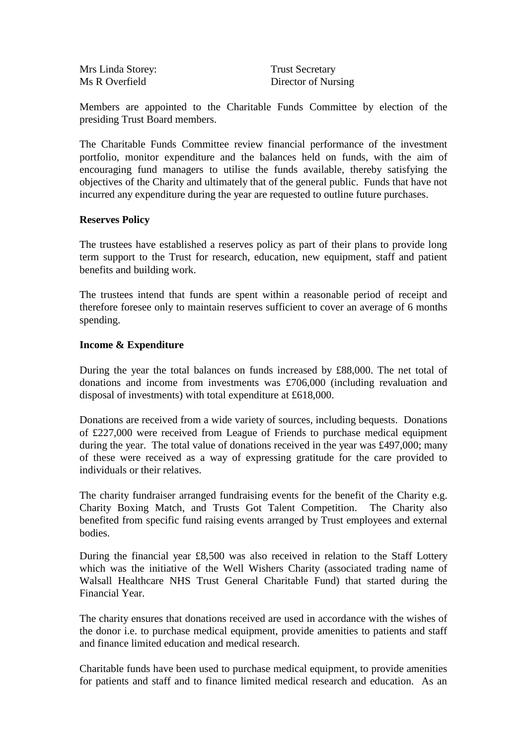Mrs Linda Storey: Trust Secretary

Ms R Overfield Director of Nursing

Members are appointed to the Charitable Funds Committee by election of the presiding Trust Board members.

The Charitable Funds Committee review financial performance of the investment portfolio, monitor expenditure and the balances held on funds, with the aim of encouraging fund managers to utilise the funds available, thereby satisfying the objectives of the Charity and ultimately that of the general public. Funds that have not incurred any expenditure during the year are requested to outline future purchases.

# **Reserves Policy**

The trustees have established a reserves policy as part of their plans to provide long term support to the Trust for research, education, new equipment, staff and patient benefits and building work.

The trustees intend that funds are spent within a reasonable period of receipt and therefore foresee only to maintain reserves sufficient to cover an average of 6 months spending.

# **Income & Expenditure**

During the year the total balances on funds increased by £88,000. The net total of donations and income from investments was £706,000 (including revaluation and disposal of investments) with total expenditure at £618,000.

Donations are received from a wide variety of sources, including bequests. Donations of £227,000 were received from League of Friends to purchase medical equipment during the year. The total value of donations received in the year was £497,000; many of these were received as a way of expressing gratitude for the care provided to individuals or their relatives.

The charity fundraiser arranged fundraising events for the benefit of the Charity e.g. Charity Boxing Match, and Trusts Got Talent Competition. The Charity also benefited from specific fund raising events arranged by Trust employees and external bodies.

During the financial year £8,500 was also received in relation to the Staff Lottery which was the initiative of the Well Wishers Charity (associated trading name of Walsall Healthcare NHS Trust General Charitable Fund) that started during the Financial Year.

The charity ensures that donations received are used in accordance with the wishes of the donor i.e. to purchase medical equipment, provide amenities to patients and staff and finance limited education and medical research.

Charitable funds have been used to purchase medical equipment, to provide amenities for patients and staff and to finance limited medical research and education. As an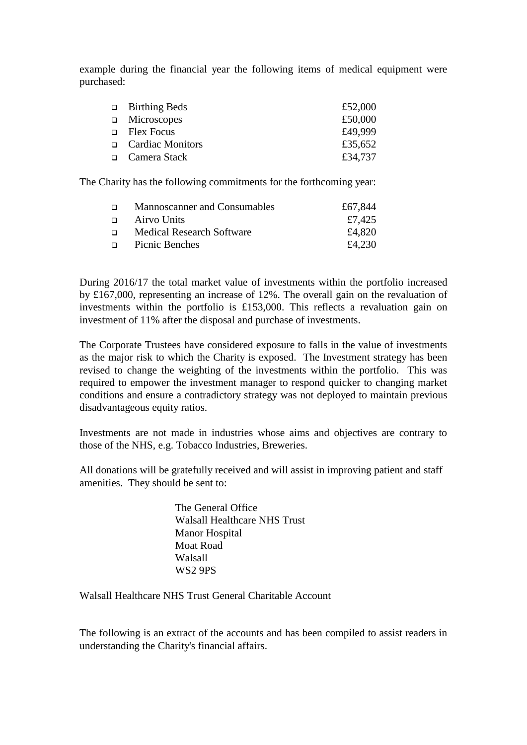example during the financial year the following items of medical equipment were purchased:

| $\Box$ Birthing Beds | £52,000 |
|----------------------|---------|
| $\Box$ Microscopes   | £50,000 |
| $\Box$ Flex Focus    | £49,999 |
| □ Cardiac Monitors   | £35,652 |
| □ Camera Stack       | £34,737 |

The Charity has the following commitments for the forthcoming year:

| $\Box$ | Mannoscanner and Consumables     | £67,844 |
|--------|----------------------------------|---------|
| $\Box$ | Airvo Units                      | £7,425  |
| $\Box$ | <b>Medical Research Software</b> | £4,820  |
| $\Box$ | Picnic Benches                   | £4.230  |

During 2016/17 the total market value of investments within the portfolio increased by £167,000, representing an increase of 12%. The overall gain on the revaluation of investments within the portfolio is £153,000. This reflects a revaluation gain on investment of 11% after the disposal and purchase of investments.

The Corporate Trustees have considered exposure to falls in the value of investments as the major risk to which the Charity is exposed. The Investment strategy has been revised to change the weighting of the investments within the portfolio. This was required to empower the investment manager to respond quicker to changing market conditions and ensure a contradictory strategy was not deployed to maintain previous disadvantageous equity ratios.

Investments are not made in industries whose aims and objectives are contrary to those of the NHS, e.g. Tobacco Industries, Breweries.

All donations will be gratefully received and will assist in improving patient and staff amenities. They should be sent to:

> The General Office Walsall Healthcare NHS Trust Manor Hospital Moat Road Walsall WS2 9PS

Walsall Healthcare NHS Trust General Charitable Account

The following is an extract of the accounts and has been compiled to assist readers in understanding the Charity's financial affairs.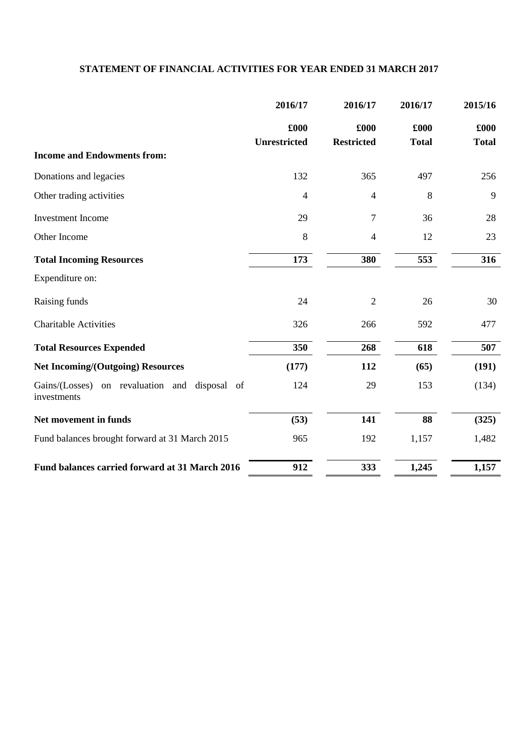# **STATEMENT OF FINANCIAL ACTIVITIES FOR YEAR ENDED 31 MARCH 2017**

|                                                              | 2016/17              | 2016/17                   | 2016/17              | 2015/16              |
|--------------------------------------------------------------|----------------------|---------------------------|----------------------|----------------------|
|                                                              | £000<br>Unrestricted | £000<br><b>Restricted</b> | £000<br><b>Total</b> | £000<br><b>Total</b> |
| <b>Income and Endowments from:</b>                           |                      |                           |                      |                      |
| Donations and legacies                                       | 132                  | 365                       | 497                  | 256                  |
| Other trading activities                                     | $\overline{4}$       | $\overline{4}$            | 8                    | 9                    |
| <b>Investment Income</b>                                     | 29                   | 7                         | 36                   | 28                   |
| Other Income                                                 | 8                    | $\overline{4}$            | 12                   | 23                   |
| <b>Total Incoming Resources</b>                              | 173                  | 380                       | 553                  | 316                  |
| Expenditure on:                                              |                      |                           |                      |                      |
| Raising funds                                                | 24                   | $\overline{2}$            | 26                   | 30                   |
| <b>Charitable Activities</b>                                 | 326                  | 266                       | 592                  | 477                  |
| <b>Total Resources Expended</b>                              | 350                  | 268                       | 618                  | 507                  |
| <b>Net Incoming/(Outgoing) Resources</b>                     | (177)                | 112                       | (65)                 | (191)                |
| Gains/(Losses) on revaluation and disposal of<br>investments | 124                  | 29                        | 153                  | (134)                |
| Net movement in funds                                        | (53)                 | 141                       | 88                   | (325)                |
| Fund balances brought forward at 31 March 2015               | 965                  | 192                       | 1,157                | 1,482                |
| Fund balances carried forward at 31 March 2016               | 912                  | 333                       | 1,245                | 1,157                |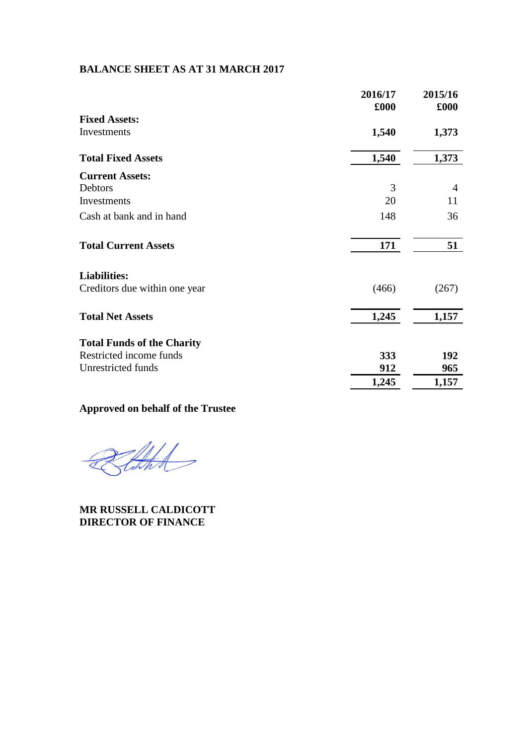# **BALANCE SHEET AS AT 31 MARCH 2017**

|                                   | 2016/17<br>£000 | 2015/16<br>£000 |
|-----------------------------------|-----------------|-----------------|
| <b>Fixed Assets:</b>              |                 |                 |
| Investments                       | 1,540           | 1,373           |
| <b>Total Fixed Assets</b>         | 1,540           | 1,373           |
| <b>Current Assets:</b>            |                 |                 |
| Debtors                           | 3               | 4               |
| Investments                       | 20              | 11              |
| Cash at bank and in hand          | 148             | 36              |
| <b>Total Current Assets</b>       | 171             | 51              |
| <b>Liabilities:</b>               |                 |                 |
| Creditors due within one year     | (466)           | (267)           |
| <b>Total Net Assets</b>           | 1,245           | 1,157           |
| <b>Total Funds of the Charity</b> |                 |                 |
| Restricted income funds           | 333             | 192             |
| Unrestricted funds                | 912             | 965             |
|                                   | 1,245           | 1,157           |

# **Approved on behalf of the Trustee**

Tith

**MR RUSSELL CALDICOTT DIRECTOR OF FINANCE**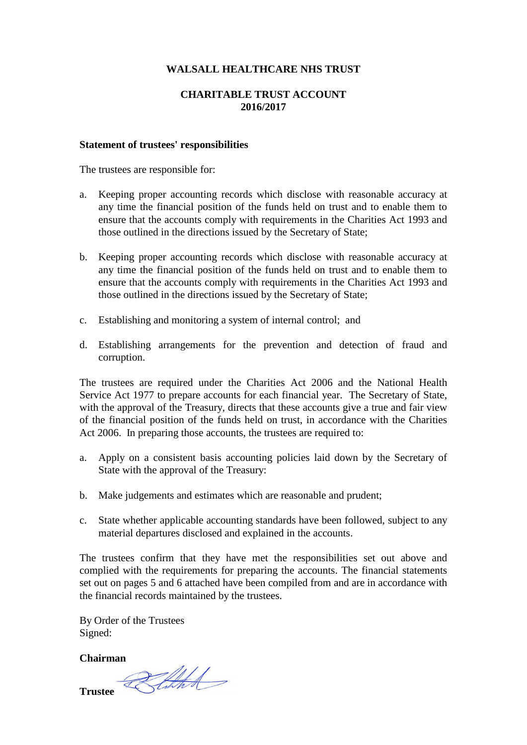# **WALSALL HEALTHCARE NHS TRUST**

# **CHARITABLE TRUST ACCOUNT 2016/2017**

### **Statement of trustees' responsibilities**

The trustees are responsible for:

- a. Keeping proper accounting records which disclose with reasonable accuracy at any time the financial position of the funds held on trust and to enable them to ensure that the accounts comply with requirements in the Charities Act 1993 and those outlined in the directions issued by the Secretary of State;
- b. Keeping proper accounting records which disclose with reasonable accuracy at any time the financial position of the funds held on trust and to enable them to ensure that the accounts comply with requirements in the Charities Act 1993 and those outlined in the directions issued by the Secretary of State;
- c. Establishing and monitoring a system of internal control; and
- d. Establishing arrangements for the prevention and detection of fraud and corruption.

The trustees are required under the Charities Act 2006 and the National Health Service Act 1977 to prepare accounts for each financial year. The Secretary of State, with the approval of the Treasury, directs that these accounts give a true and fair view of the financial position of the funds held on trust, in accordance with the Charities Act 2006. In preparing those accounts, the trustees are required to:

- a. Apply on a consistent basis accounting policies laid down by the Secretary of State with the approval of the Treasury:
- b. Make judgements and estimates which are reasonable and prudent;
- c. State whether applicable accounting standards have been followed, subject to any material departures disclosed and explained in the accounts.

The trustees confirm that they have met the responsibilities set out above and complied with the requirements for preparing the accounts. The financial statements set out on pages 5 and 6 attached have been compiled from and are in accordance with the financial records maintained by the trustees.

By Order of the Trustees Signed:

**Chairman**

Trustee *ZAHA*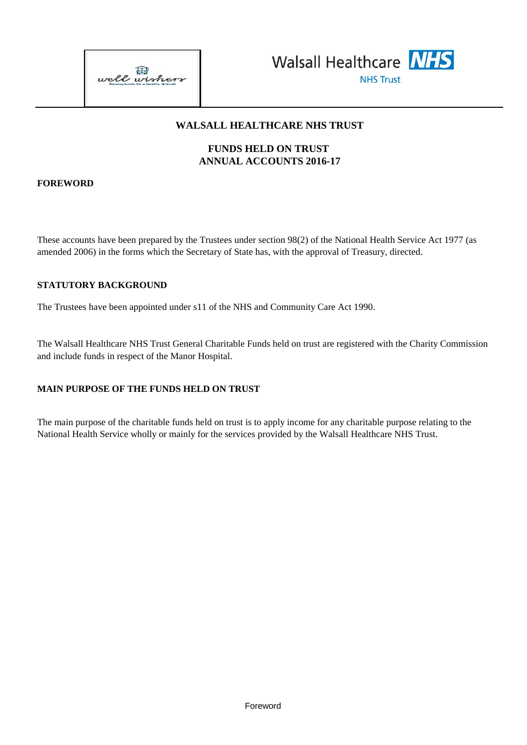



# **WALSALL HEALTHCARE NHS TRUST**

# **FUNDS HELD ON TRUST ANNUAL ACCOUNTS 2016-17**

# **FOREWORD**

These accounts have been prepared by the Trustees under section 98(2) of the National Health Service Act 1977 (as amended 2006) in the forms which the Secretary of State has, with the approval of Treasury, directed.

# **STATUTORY BACKGROUND**

The Trustees have been appointed under s11 of the NHS and Community Care Act 1990.

The Walsall Healthcare NHS Trust General Charitable Funds held on trust are registered with the Charity Commission and include funds in respect of the Manor Hospital.

# **MAIN PURPOSE OF THE FUNDS HELD ON TRUST**

The main purpose of the charitable funds held on trust is to apply income for any charitable purpose relating to the National Health Service wholly or mainly for the services provided by the Walsall Healthcare NHS Trust.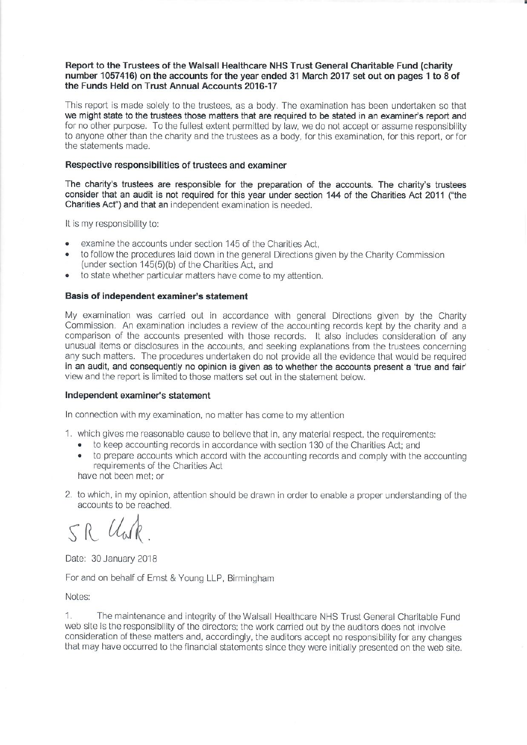## Report to the Trustees of the Walsall Healthcare NHS Trust General Charitable Fund (charity number 1057416) on the accounts for the year ended 31 March 2017 set out on pages 1 to 8 of the Funds Held on Trust Annual Accounts 2016-17

This report is made solely to the trustees, as a body. The examination has been undertaken so that we might state to the trustees those matters that are required to be stated in an examiner's report and for no other purpose. To the fullest extent permitted by law, we do not accept or assume responsibility to anyone other than the charity and the trustees as a body, for this examination, for this report, or for the statements made.

## Respective responsibilities of trustees and examiner

The charity's trustees are responsible for the preparation of the accounts. The charity's trustees consider that an audit is not required for this year under section 144 of the Charities Act 2011 ("the Charities Act") and that an independent examination is needed.

It is my responsibility to:

- examine the accounts under section 145 of the Charities Act.  $\bullet$
- to follow the procedures laid down in the general Directions given by the Charity Commission  $\bullet$ (under section 145(5)(b) of the Charities Act, and
- to state whether particular matters have come to my attention.

### Basis of independent examiner's statement

My examination was carried out in accordance with general Directions given by the Charity Commission. An examination includes a review of the accounting records kept by the charity and a comparison of the accounts presented with those records. It also includes consideration of any unusual items or disclosures in the accounts, and seeking explanations from the trustees concerning any such matters. The procedures undertaken do not provide all the evidence that would be required in an audit, and consequently no opinion is given as to whether the accounts present a 'true and fair' view and the report is limited to those matters set out in the statement below.

#### Independent examiner's statement

In connection with my examination, no matter has come to my attention

- 1. which gives me reasonable cause to believe that in, any material respect, the requirements:
	- to keep accounting records in accordance with section 130 of the Charities Act: and
	- to prepare accounts which accord with the accounting records and comply with the accounting requirements of the Charities Act

have not been met: or

2. to which, in my opinion, attention should be drawn in order to enable a proper understanding of the accounts to be reached.

SR Unk

Date: 30 January 2018

For and on behalf of Ernst & Young LLP, Birmingham

Notes:

1. The maintenance and integrity of the Walsall Healthcare NHS Trust General Charitable Fund web site is the responsibility of the directors; the work carried out by the auditors does not involve consideration of these matters and, accordingly, the auditors accept no responsibility for any changes that may have occurred to the financial statements since they were initially presented on the web site.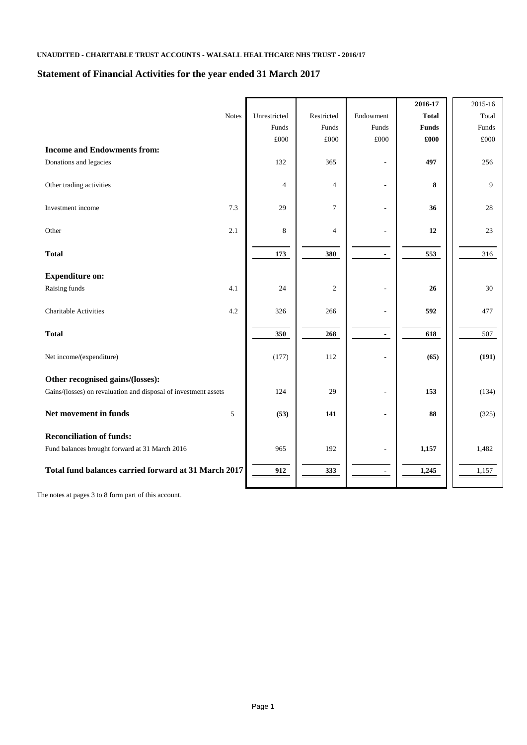# **Statement of Financial Activities for the year ended 31 March 2017**

|                                                                 |              |                |                |                          | 2016-17      | 2015-16      |
|-----------------------------------------------------------------|--------------|----------------|----------------|--------------------------|--------------|--------------|
|                                                                 | <b>Notes</b> | Unrestricted   | Restricted     | Endowment                | <b>Total</b> | Total        |
|                                                                 |              | Funds          | Funds          | Funds                    | <b>Funds</b> | Funds        |
|                                                                 |              | $\pounds000$   | $\pounds000$   | $\pounds000$             | £000         | $\pounds000$ |
| <b>Income and Endowments from:</b>                              |              |                |                |                          |              |              |
| Donations and legacies                                          |              | 132            | 365            | ÷,                       | 497          | 256          |
| Other trading activities                                        |              | $\overline{4}$ | $\overline{4}$ | ÷,                       | 8            | 9            |
| Investment income                                               | 7.3          | 29             | $\tau$         | ÷,                       | 36           | 28           |
| Other                                                           | 2.1          | 8              | $\overline{4}$ | ÷,                       | 12           | 23           |
| <b>Total</b>                                                    |              | 173            | 380            | $\blacksquare$           | 553          | 316          |
| <b>Expenditure on:</b>                                          |              |                |                |                          |              |              |
| Raising funds                                                   | 4.1          | 24             | $\overline{2}$ |                          | 26           | 30           |
| <b>Charitable Activities</b>                                    | 4.2          | 326            | 266            | $\overline{\phantom{a}}$ | 592          | 477          |
| <b>Total</b>                                                    |              | 350            | 268            | $\blacksquare$           | 618          | 507          |
| Net income/(expenditure)                                        |              | (177)          | 112            |                          | (65)         | (191)        |
| Other recognised gains/(losses):                                |              |                |                |                          |              |              |
| Gains/(losses) on revaluation and disposal of investment assets |              | 124            | 29             | ÷,                       | 153          | (134)        |
| Net movement in funds                                           | 5            | (53)           | 141            | $\blacksquare$           | 88           | (325)        |
| <b>Reconciliation of funds:</b>                                 |              |                |                |                          |              |              |
| Fund balances brought forward at 31 March 2016                  |              | 965            | 192            |                          | 1,157        | 1,482        |
| Total fund balances carried forward at 31 March 2017            |              | 912            | 333            | $\blacksquare$           | 1,245        | 1,157        |

The notes at pages 3 to 8 form part of this account.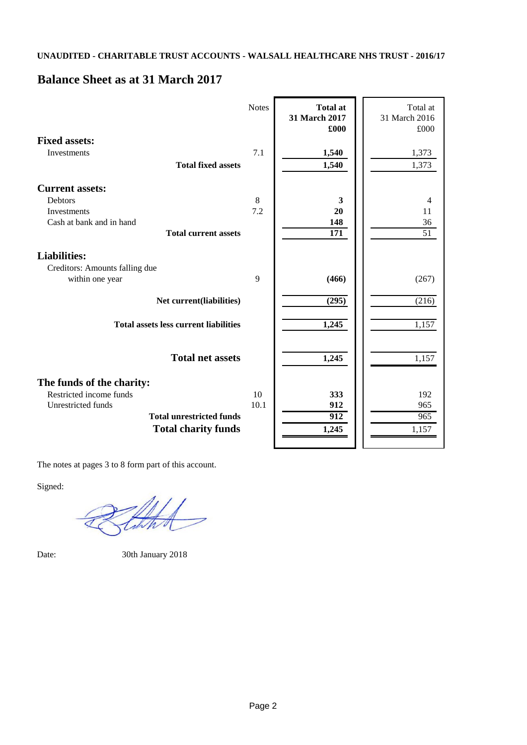# **Balance Sheet as at 31 March 2017**

|                                                   | <b>Notes</b> | <b>Total at</b><br>31 March 2017<br>£000 | Total at<br>31 March 2016<br>£000 |
|---------------------------------------------------|--------------|------------------------------------------|-----------------------------------|
| <b>Fixed assets:</b>                              |              |                                          |                                   |
| Investments                                       | 7.1          | 1,540                                    | 1,373                             |
| <b>Total fixed assets</b>                         |              | 1,540                                    | 1,373                             |
| <b>Current assets:</b>                            |              |                                          |                                   |
| <b>Debtors</b>                                    | 8            | 3                                        | 4                                 |
| Investments                                       | 7.2          | 20                                       | 11                                |
| Cash at bank and in hand                          |              | 148                                      | 36                                |
| <b>Total current assets</b>                       |              | 171                                      | 51                                |
| <b>Liabilities:</b>                               |              |                                          |                                   |
| Creditors: Amounts falling due<br>within one year | 9            | (466)                                    | (267)                             |
| Net current(liabilities)                          |              | (295)                                    | (216)                             |
| <b>Total assets less current liabilities</b>      |              | 1,245                                    | 1,157                             |
| <b>Total net assets</b>                           |              | 1,245                                    | 1,157                             |
| The funds of the charity:                         |              |                                          |                                   |
| Restricted income funds                           | 10           | 333                                      | 192                               |
| Unrestricted funds                                | 10.1         | 912                                      | 965                               |
| <b>Total unrestricted funds</b>                   |              | 912                                      | 965                               |
| <b>Total charity funds</b>                        |              | 1,245                                    | 1,157                             |
|                                                   |              |                                          |                                   |

The notes at pages 3 to 8 form part of this account.

Signed:

Date: 30th January 2018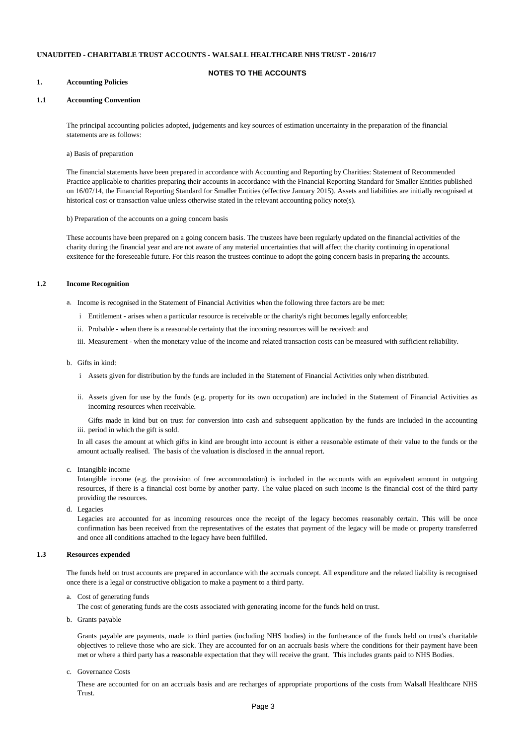#### **NOTES TO THE ACCOUNTS**

#### **1. Accounting Policies**

#### **1.1 Accounting Convention**

The principal accounting policies adopted, judgements and key sources of estimation uncertainty in the preparation of the financial statements are as follows:

a) Basis of preparation

The financial statements have been prepared in accordance with Accounting and Reporting by Charities: Statement of Recommended Practice applicable to charities preparing their accounts in accordance with the Financial Reporting Standard for Smaller Entities published on 16/07/14, the Financial Reporting Standard for Smaller Entities (effective January 2015). Assets and liabilities are initially recognised at historical cost or transaction value unless otherwise stated in the relevant accounting policy note(s).

b) Preparation of the accounts on a going concern basis

These accounts have been prepared on a going concern basis. The trustees have been regularly updated on the financial activities of the charity during the financial year and are not aware of any material uncertainties that will affect the charity continuing in operational exsitence for the foreseeable future. For this reason the trustees continue to adopt the going concern basis in preparing the accounts.

#### **1.2 Income Recognition**

- a. Income is recognised in the Statement of Financial Activities when the following three factors are be met:
	- i Entitlement arises when a particular resource is receivable or the charity's right becomes legally enforceable;
	- ii. Probable when there is a reasonable certainty that the incoming resources will be received: and

iii. Measurement - when the monetary value of the income and related transaction costs can be measured with sufficient reliability.

#### b. Gifts in kind:

- i Assets given for distribution by the funds are included in the Statement of Financial Activities only when distributed.
- ii. Assets given for use by the funds (e.g. property for its own occupation) are included in the Statement of Financial Activities as incoming resources when receivable.

iii. period in which the gift is sold. Gifts made in kind but on trust for conversion into cash and subsequent application by the funds are included in the accounting

In all cases the amount at which gifts in kind are brought into account is either a reasonable estimate of their value to the funds or the amount actually realised. The basis of the valuation is disclosed in the annual report.

c. Intangible income

Intangible income (e.g. the provision of free accommodation) is included in the accounts with an equivalent amount in outgoing resources, if there is a financial cost borne by another party. The value placed on such income is the financial cost of the third party providing the resources.

d. Legacies d. Legacies

Legacies are accounted for as incoming resources once the receipt of the legacy becomes reasonably certain. This will be once confirmation has been received from the representatives of the estates that payment of the legacy will be made or property transferred and once all conditions attached to the legacy have been fulfilled.

#### **1.3 Resources expended**

The funds held on trust accounts are prepared in accordance with the accruals concept. All expenditure and the related liability is recognised once there is a legal or constructive obligation to make a payment to a third party.

a. Cost of generating funds

The cost of generating funds are the costs associated with generating income for the funds held on trust.

b. Grants payable

Grants payable are payments, made to third parties (including NHS bodies) in the furtherance of the funds held on trust's charitable objectives to relieve those who are sick. They are accounted for on an accruals basis where the conditions for their payment have been met or where a third party has a reasonable expectation that they will receive the grant. This includes grants paid to NHS Bodies.

c. Governance Costs

These are accounted for on an accruals basis and are recharges of appropriate proportions of the costs from Walsall Healthcare NHS Trust.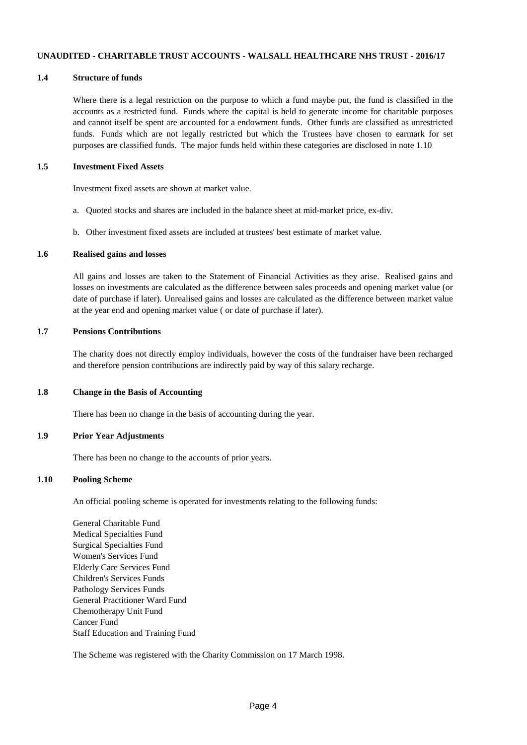#### **1.4 Structure of funds**

Where there is a legal restriction on the purpose to which a fund maybe put, the fund is classified in the accounts as a restricted fund. Funds where the capital is held to generate income for charitable purposes and cannot itself be spent are accounted for a endowment funds. Other funds are classified as unrestricted funds. Funds which are not legally restricted but which the Trustees have chosen to earmark for set purposes are classified funds. The major funds held within these categories are disclosed in note 1.10

#### **1.5 Investment Fixed Assets**

Investment fixed assets are shown at market value.

- a. Quoted stocks and shares are included in the balance sheet at mid-market price, ex-div.
- b. Other investment fixed assets are included at trustees' best estimate of market value.

#### **1.6 Realised gains and losses**

All gains and losses are taken to the Statement of Financial Activities as they arise. Realised gains and losses on investments are calculated as the difference between sales proceeds and opening market value (or date of purchase if later). Unrealised gains and losses are calculated as the difference between market value at the year end and opening market value ( or date of purchase if later).

### **1.7 Pensions Contributions**

The charity does not directly employ individuals, however the costs of the fundraiser have been recharged and therefore pension contributions are indirectly paid by way of this salary recharge.

### **1.8 Change in the Basis of Accounting**

There has been no change in the basis of accounting during the year.

#### **1.9 Prior Year Adjustments**

There has been no change to the accounts of prior years.

### **1.10 Pooling Scheme**

An official pooling scheme is operated for investments relating to the following funds:

General Charitable Fund Medical Specialties Fund Surgical Specialties Fund Women's Services Fund Elderly Care Services Fund Children's Services Funds Pathology Services Funds General Practitioner Ward Fund Chemotherapy Unit Fund Cancer Fund Staff Education and Training Fund

The Scheme was registered with the Charity Commission on 17 March 1998.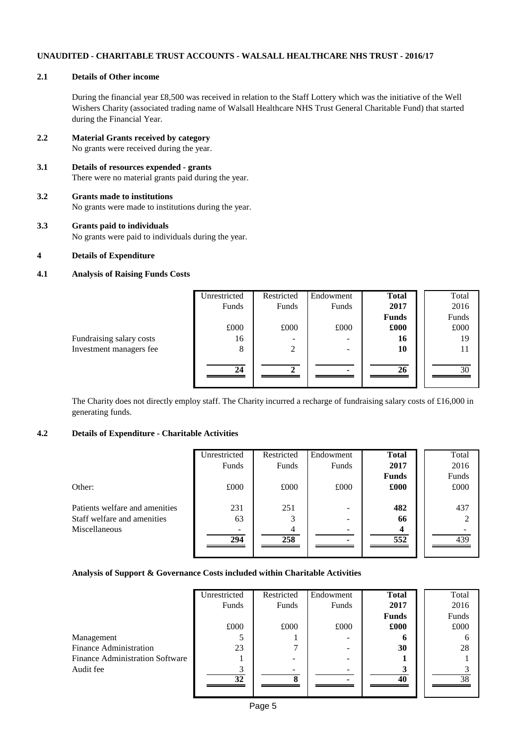### **2.1 Details of Other income**

During the financial year £8,500 was received in relation to the Staff Lottery which was the initiative of the Well Wishers Charity (associated trading name of Walsall Healthcare NHS Trust General Charitable Fund) that started during the Financial Year.

- **2.2 Material Grants received by category** No grants were received during the year.
- **3.1 Details of resources expended grants** There were no material grants paid during the year.
- **3.2 Grants made to institutions** No grants were made to institutions during the year.
- **3.3 Grants paid to individuals** No grants were paid to individuals during the year.
- **4 Details of Expenditure**

### **4.1 Analysis of Raising Funds Costs**

|                          | Unrestricted | Restricted | Endowment | <b>Total</b> | Total |
|--------------------------|--------------|------------|-----------|--------------|-------|
|                          | Funds        | Funds      | Funds     | 2017         | 2016  |
|                          |              |            |           | <b>Funds</b> | Funds |
|                          | £000         | £000       | £000      | £000         | £000  |
| Fundraising salary costs | 16           |            |           | 16           | 19    |
| Investment managers fee  | 8            | 2          | -         | 10           | 11    |
|                          |              |            |           |              |       |
|                          | 24           |            |           | 26           | 30    |
|                          |              |            |           |              |       |

The Charity does not directly employ staff. The Charity incurred a recharge of fundraising salary costs of £16,000 in generating funds.

# **4.2 Details of Expenditure - Charitable Activities**

|                                | Unrestricted | Restricted | Endowment | <b>Total</b> | Total |
|--------------------------------|--------------|------------|-----------|--------------|-------|
|                                | Funds        | Funds      | Funds     | 2017         | 2016  |
|                                |              |            |           | <b>Funds</b> | Funds |
| Other:                         | £000         | £000       | £000      | £000         | £000  |
|                                |              |            |           |              |       |
| Patients welfare and amenities | 231          | 251        |           | 482          | 437   |
| Staff welfare and amenities    | 63           |            |           | 66           |       |
| Miscellaneous                  |              |            |           |              |       |
|                                | 294          | 258        |           | 552          | 439   |
|                                |              |            |           |              |       |

### **Analysis of Support & Governance Costs included within Charitable Activities**

|                                        | Unrestricted | Restricted | Endowment | <b>Total</b> | Total |
|----------------------------------------|--------------|------------|-----------|--------------|-------|
|                                        | Funds        | Funds      | Funds     | 2017         | 2016  |
|                                        |              |            |           | <b>Funds</b> | Funds |
|                                        | £000         | £000       | £000      | £000         | £000  |
| Management                             |              |            |           | o            |       |
| <b>Finance Administration</b>          | 23           |            |           | 30           | 28    |
| <b>Finance Administration Software</b> |              |            |           |              |       |
| Audit fee                              |              |            |           |              |       |
|                                        | 32           |            |           | 40           | 38    |
|                                        |              |            |           |              |       |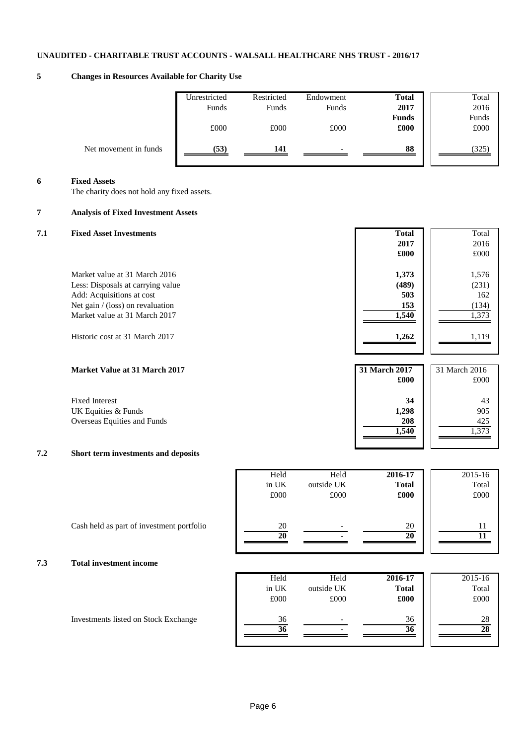# **5 Changes in Resources Available for Charity Use**

|                       | Unrestricted<br>Funds | Restricted<br>Funds | Endowment<br>Funds       | <b>Total</b><br>2017 | Total<br>2016 |
|-----------------------|-----------------------|---------------------|--------------------------|----------------------|---------------|
|                       | £000                  | £000                | £000                     | <b>Funds</b><br>£000 | Funds<br>£000 |
| Net movement in funds | (53)                  | 141                 | $\overline{\phantom{0}}$ | 88                   | (325)         |

#### **6 Fixed Assets**

The charity does not hold any fixed assets.

# **7 Analysis of Fixed Investment Assets**

# **7.1 Fixed Asset Investments Total** Total **2017** 2016 **£000** £000 Market value at 31 March 2016 **1,576** 1,576 Less: Disposals at carrying value **(489)** (231) Add: Acquisitions at cost **503** 162 Net gain / (loss) on revaluation **153** (134) Market value at 31 March 2017 **1,373** 1,373 Historic cost at 31 March 2017 **1,262** 1,119 **Market Value at 31 March 2017 £000** £000 **31 March 2017** 31 March 2016

Fixed Interest **34** 43 UK Equities & Funds **1,298** 905<br>Overseas Equities and Funds **1,298** 208 425 Overseas Equities and Funds **208 1,540 1**,573

# **7.2 Short term investments and deposits**

| 2015-16  | 2016-17      | Held       | Held     |
|----------|--------------|------------|----------|
| Total    | <b>Total</b> | outside UK | in UK    |
| £000     | £000         | £000       | £000     |
| 11<br>11 | 20<br>20     |            | 20<br>20 |

**1,540** 1,373

| 7.3 | <b>Total investment income</b> |  |
|-----|--------------------------------|--|
|     |                                |  |

| Held  | Held       | 2016-17      | 2015-16 |
|-------|------------|--------------|---------|
| in UK | outside UK | <b>Total</b> | Total   |
| £000  | £000       | £000         | £000    |
| 36    | -          | 36           | 28      |
| 36    |            | 36           |         |
|       |            |              |         |

Investments listed on Stock Exchange

Cash held as part of investment portfolio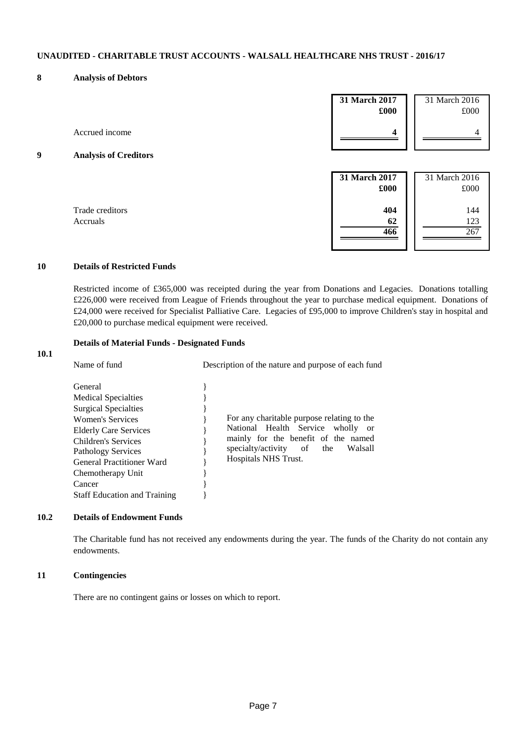### **8 Analysis of Debtors**

|   |                              | 31 March 2017<br>£000 | 31 March 2016<br>£000 |
|---|------------------------------|-----------------------|-----------------------|
|   | Accrued income               | 4                     | 4                     |
| Q | <b>Analysis of Creditors</b> |                       |                       |
|   |                              | 31 March 2017<br>£000 | 31 March 2016<br>£000 |
|   | Trade creditors<br>Accruals  | 404<br>62<br>466      | 144<br>123<br>267     |

# **10 Details of Restricted Funds**

**10.1**

Restricted income of £365,000 was receipted during the year from Donations and Legacies. Donations totalling £226,000 were received from League of Friends throughout the year to purchase medical equipment. Donations of £24,000 were received for Specialist Palliative Care. Legacies of £95,000 to improve Children's stay in hospital and £20,000 to purchase medical equipment were received.

# **Details of Material Funds - Designated Funds**

| Name of fund                                                                                                                                                                                                                                                                                  | Description of the nature and purpose of each fund                                                                                                                                                |  |  |
|-----------------------------------------------------------------------------------------------------------------------------------------------------------------------------------------------------------------------------------------------------------------------------------------------|---------------------------------------------------------------------------------------------------------------------------------------------------------------------------------------------------|--|--|
| General<br><b>Medical Specialties</b><br><b>Surgical Specialties</b><br><b>Women's Services</b><br><b>Elderly Care Services</b><br>Children's Services<br><b>Pathology Services</b><br><b>General Practitioner Ward</b><br>Chemotherapy Unit<br>Cancer<br><b>Staff Education and Training</b> | For any charitable purpose relating to the<br>National Health Service wholly<br>- or<br>mainly for the benefit of the named<br>specialty/activity<br>of<br>the<br>Walsall<br>Hospitals NHS Trust. |  |  |

#### **10.2 Details of Endowment Funds**

The Charitable fund has not received any endowments during the year. The funds of the Charity do not contain any endowments.

## **11 Contingencies**

There are no contingent gains or losses on which to report.